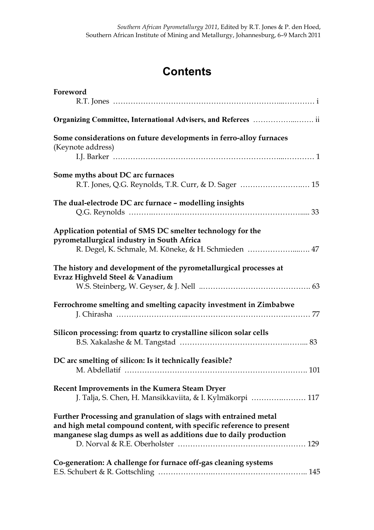## **Contents**

| Foreword                                                                                                                                                                                                     |
|--------------------------------------------------------------------------------------------------------------------------------------------------------------------------------------------------------------|
|                                                                                                                                                                                                              |
| Some considerations on future developments in ferro-alloy furnaces<br>(Keynote address)                                                                                                                      |
| Some myths about DC arc furnaces<br>R.T. Jones, Q.G. Reynolds, T.R. Curr, & D. Sager  15                                                                                                                     |
| The dual-electrode DC arc furnace - modelling insights                                                                                                                                                       |
| Application potential of SMS DC smelter technology for the<br>pyrometallurgical industry in South Africa<br>R. Degel, K. Schmale, M. Köneke, & H. Schmieden  47                                              |
| The history and development of the pyrometallurgical processes at<br>Evraz Highveld Steel & Vanadium                                                                                                         |
| Ferrochrome smelting and smelting capacity investment in Zimbabwe                                                                                                                                            |
| Silicon processing: from quartz to crystalline silicon solar cells                                                                                                                                           |
| DC arc smelting of silicon: Is it technically feasible?<br>101<br>M Abdellatif                                                                                                                               |
| Recent Improvements in the Kumera Steam Dryer<br>J. Talja, S. Chen, H. Mansikkaviita, & I. Kylmäkorpi  117                                                                                                   |
| Further Processing and granulation of slags with entrained metal<br>and high metal compound content, with specific reference to present<br>manganese slag dumps as well as additions due to daily production |
| Co-generation: A challenge for furnace off-gas cleaning systems                                                                                                                                              |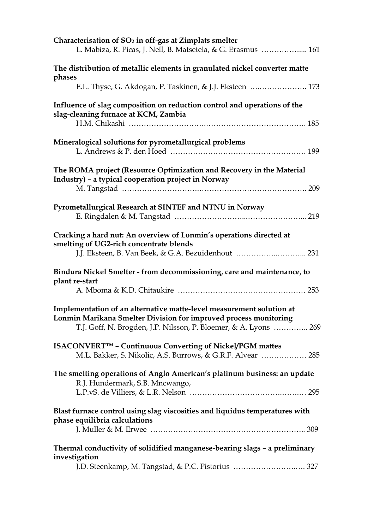| Characterisation of $SO2$ in off-gas at Zimplats smelter<br>L. Mabiza, R. Picas, J. Nell, B. Matsetela, & G. Erasmus  161                                                                                    |
|--------------------------------------------------------------------------------------------------------------------------------------------------------------------------------------------------------------|
| The distribution of metallic elements in granulated nickel converter matte<br>phases                                                                                                                         |
| E.L. Thyse, G. Akdogan, P. Taskinen, & J.J. Eksteen  173                                                                                                                                                     |
| Influence of slag composition on reduction control and operations of the<br>slag-cleaning furnace at KCM, Zambia                                                                                             |
| Mineralogical solutions for pyrometallurgical problems                                                                                                                                                       |
| The ROMA project (Resource Optimization and Recovery in the Material<br>Industry) - a typical cooperation project in Norway                                                                                  |
| Pyrometallurgical Research at SINTEF and NTNU in Norway                                                                                                                                                      |
| Cracking a hard nut: An overview of Lonmin's operations directed at<br>smelting of UG2-rich concentrate blends                                                                                               |
| Bindura Nickel Smelter - from decommissioning, care and maintenance, to<br>plant re-start                                                                                                                    |
| Implementation of an alternative matte-level measurement solution at<br>Lonmin Marikana Smelter Division for improved process monitoring<br>T.J. Goff, N. Brogden, J.P. Nilsson, P. Bloemer, & A. Lyons  269 |
| ISACONVERT™ - Continuous Converting of Nickel/PGM mattes<br>M.L. Bakker, S. Nikolic, A.S. Burrows, & G.R.F. Alvear  285                                                                                      |
| The smelting operations of Anglo American's platinum business: an update<br>R.J. Hundermark, S.B. Mncwango,                                                                                                  |
| Blast furnace control using slag viscosities and liquidus temperatures with<br>phase equilibria calculations                                                                                                 |
|                                                                                                                                                                                                              |
| Thermal conductivity of solidified manganese-bearing slags - a preliminary<br>investigation<br>J.D. Steenkamp, M. Tangstad, & P.C. Pistorius  327                                                            |
|                                                                                                                                                                                                              |